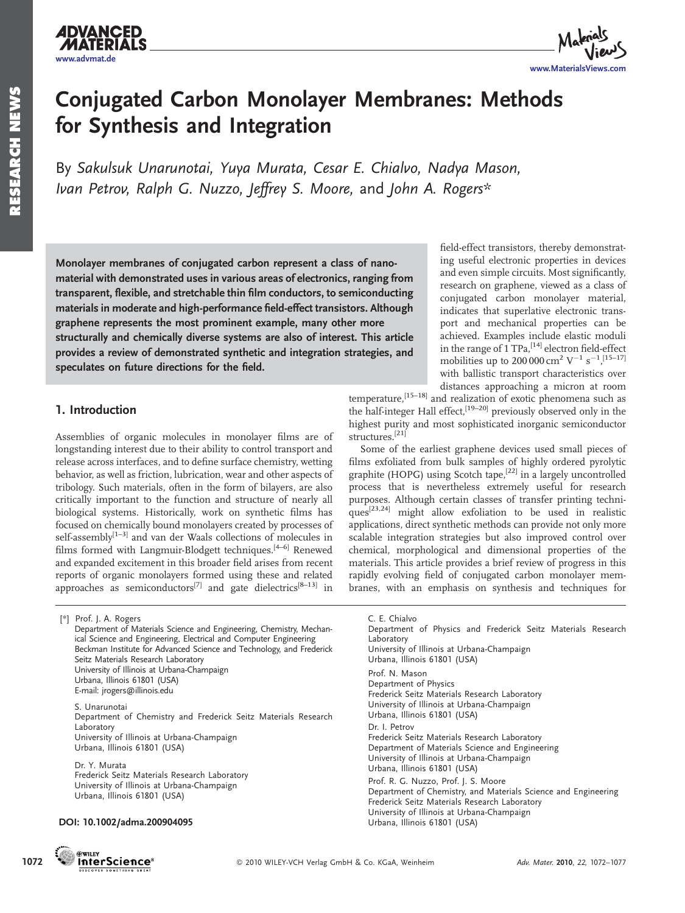

# Conjugated Carbon Monolayer Membranes: Methods for Synthesis and Integration

By Sakulsuk Unarunotai, Yuya Murata, Cesar E. Chialvo, Nadya Mason, Ivan Petrov, Ralph G. Nuzzo, Jeffrey S. Moore, and John A. Rogers\*

Monolayer membranes of conjugated carbon represent a class of nanomaterial with demonstrated uses in various areas of electronics, ranging from transparent, flexible, and stretchable thin film conductors, to semiconducting materials in moderate and high-performance field-effect transistors. Although graphene represents the most prominent example, many other more structurally and chemically diverse systems are also of interest. This article provides a review of demonstrated synthetic and integration strategies, and speculates on future directions for the field.

## 1. Introduction

[*\**] Prof. J. A. Rogers

Assemblies of organic molecules in monolayer films are of longstanding interest due to their ability to control transport and release across interfaces, and to define surface chemistry, wetting behavior, as well as friction, lubrication, wear and other aspects of tribology. Such materials, often in the form of bilayers, are also critically important to the function and structure of nearly all biological systems. Historically, work on synthetic films has focused on chemically bound monolayers created by processes of self-assembly<sup>[1–3]</sup> and van der Waals collections of molecules in films formed with Langmuir-Blodgett techniques.[4–6] Renewed and expanded excitement in this broader field arises from recent reports of organic monolayers formed using these and related approaches as semiconductors<sup>[7]</sup> and gate dielectrics<sup>[8-13]</sup> in

field-effect transistors, thereby demonstrating useful electronic properties in devices and even simple circuits. Most significantly, research on graphene, viewed as a class of conjugated carbon monolayer material, indicates that superlative electronic transport and mechanical properties can be achieved. Examples include elastic moduli in the range of  $1$  TPa, [14] electron field-effect mobilities up to 200 000 cm<sup>2</sup> V<sup>-1</sup> s<sup>-1</sup>,<sup>[15-17]</sup> with ballistic transport characteristics over distances approaching a micron at room

temperature,<sup>[15–18]</sup> and realization of exotic phenomena such as the half-integer Hall effect,<sup>[19-20]</sup> previously observed only in the highest purity and most sophisticated inorganic semiconductor structures.[21]

Some of the earliest graphene devices used small pieces of films exfoliated from bulk samples of highly ordered pyrolytic graphite (HOPG) using Scotch tape,<sup>[22]</sup> in a largely uncontrolled process that is nevertheless extremely useful for research purposes. Although certain classes of transfer printing techniques[23,24] might allow exfoliation to be used in realistic applications, direct synthetic methods can provide not only more scalable integration strategies but also improved control over chemical, morphological and dimensional properties of the materials. This article provides a brief review of progress in this rapidly evolving field of conjugated carbon monolayer membranes, with an emphasis on synthesis and techniques for

Department of Physics and Frederick Seitz Materials Research

Department of Chemistry, and Materials Science and Engineering

University of Illinois at Urbana-Champaign

Frederick Seitz Materials Research Laboratory University of Illinois at Urbana-Champaign

Frederick Seitz Materials Research Laboratory Department of Materials Science and Engineering University of Illinois at Urbana-Champaign

Frederick Seitz Materials Research Laboratory University of Illinois at Urbana-Champaign

Urbana, Illinois 61801 (USA)

Urbana, Illinois 61801 (USA)

Urbana, Illinois 61801 (USA) Prof. R. G. Nuzzo, Prof. J. S. Moore

Urbana, Illinois 61801 (USA)

Department of Materials Science and Engineering, Chemistry, Mechanical Science and Engineering, Electrical and Computer Engineering Beckman Institute for Advanced Science and Technology, and Frederick Seitz Materials Research Laboratory University of Illinois at Urbana-Champaign Urbana, Illinois 61801 (USA) E-mail: jrogers@illinois.edu S. Unarunotai Department of Chemistry and Frederick Seitz Materials Research Laboratory

University of Illinois at Urbana-Champaign Urbana, Illinois 61801 (USA)

Dr. Y. Murata Frederick Seitz Materials Research Laboratory University of Illinois at Urbana-Champaign Urbana, Illinois 61801 (USA)

#### DOI: 10.1002/adma.200904095





C. E. Chialvo

Prof. N. Mason Department of Physics

Dr. I. Petrov

Laboratory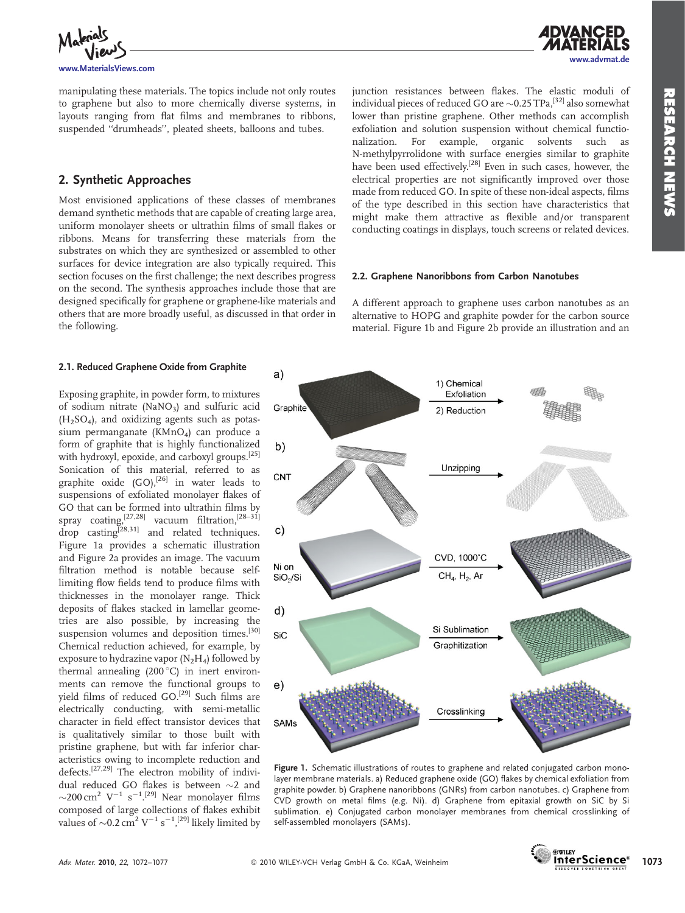

manipulating these materials. The topics include not only routes to graphene but also to more chemically diverse systems, in layouts ranging from flat films and membranes to ribbons, suspended ''drumheads'', pleated sheets, balloons and tubes.

## 2. Synthetic Approaches

Most envisioned applications of these classes of membranes demand synthetic methods that are capable of creating large area, uniform monolayer sheets or ultrathin films of small flakes or ribbons. Means for transferring these materials from the substrates on which they are synthesized or assembled to other surfaces for device integration are also typically required. This section focuses on the first challenge; the next describes progress on the second. The synthesis approaches include those that are designed specifically for graphene or graphene-like materials and others that are more broadly useful, as discussed in that order in the following.

## 2.1. Reduced Graphene Oxide from Graphite

Exposing graphite, in powder form, to mixtures of sodium nitrate (NaNO3) and sulfuric acid  $(H<sub>2</sub>SO<sub>4</sub>)$ , and oxidizing agents such as potassium permanganate (KMnO<sub>4</sub>) can produce a form of graphite that is highly functionalized with hydroxyl, epoxide, and carboxyl groups.[25] Sonication of this material, referred to as graphite oxide  $(GO)$ ,<sup>[26]</sup> in water leads to suspensions of exfoliated monolayer flakes of GO that can be formed into ultrathin films by spray coating,<sup>[27,28]</sup> vacuum filtration.<sup>[28–31]</sup>  $\frac{1}{2}$  coaling<sup>[28,31]</sup> and related techniques. Figure 1a provides a schematic illustration and Figure 2a provides an image. The vacuum filtration method is notable because selflimiting flow fields tend to produce films with thicknesses in the monolayer range. Thick deposits of flakes stacked in lamellar geometries are also possible, by increasing the suspension volumes and deposition times.<sup>[30]</sup> Chemical reduction achieved, for example, by exposure to hydrazine vapor  $(N_2H_4)$  followed by thermal annealing  $(200\degree C)$  in inert environments can remove the functional groups to yield films of reduced GO.<sup>[29]</sup> Such films are electrically conducting, with semi-metallic character in field effect transistor devices that is qualitatively similar to those built with pristine graphene, but with far inferior characteristics owing to incomplete reduction and defects.[27,29] The electron mobility of individual reduced GO flakes is between  ${\sim}2$  and  $\sim$ 200 cm<sup>2</sup> V<sup>-1</sup> s<sup>-1</sup>.<sup>[29]</sup> Near monolayer films composed of large collections of flakes exhibit values of  ${\sim}0.2\,\mathrm{cm}^2\,\mathrm{V}^{-1}\,\mathrm{s}^{-1}$ ,<sup>[29]</sup> likely limited by

junction resistances between flakes. The elastic moduli of individual pieces of reduced GO are  ${\sim}$ 0.25 TPa, $^{[32]}$  also somewhat lower than pristine graphene. Other methods can accomplish exfoliation and solution suspension without chemical functionalization. For example, organic solvents such as nalization. For example, organic solvents such as N-methylpyrrolidone with surface energies similar to graphite have been used effectively.<sup>[28]</sup> Even in such cases, however, the electrical properties are not significantly improved over those made from reduced GO. In spite of these non-ideal aspects, films of the type described in this section have characteristics that might make them attractive as flexible and/or transparent conducting coatings in displays, touch screens or related devices.

#### 2.2. Graphene Nanoribbons from Carbon Nanotubes

A different approach to graphene uses carbon nanotubes as an alternative to HOPG and graphite powder for the carbon source material. Figure 1b and Figure 2b provide an illustration and an



Figure 1. Schematic illustrations of routes to graphene and related conjugated carbon monolayer membrane materials. a) Reduced graphene oxide (GO) flakes by chemical exfoliation from graphite powder. b) Graphene nanoribbons (GNRs) from carbon nanotubes. c) Graphene from CVD growth on metal films (e.g. Ni). d) Graphene from epitaxial growth on SiC by Si sublimation. e) Conjugated carbon monolayer membranes from chemical crosslinking of self-assembled monolayers (SAMs).

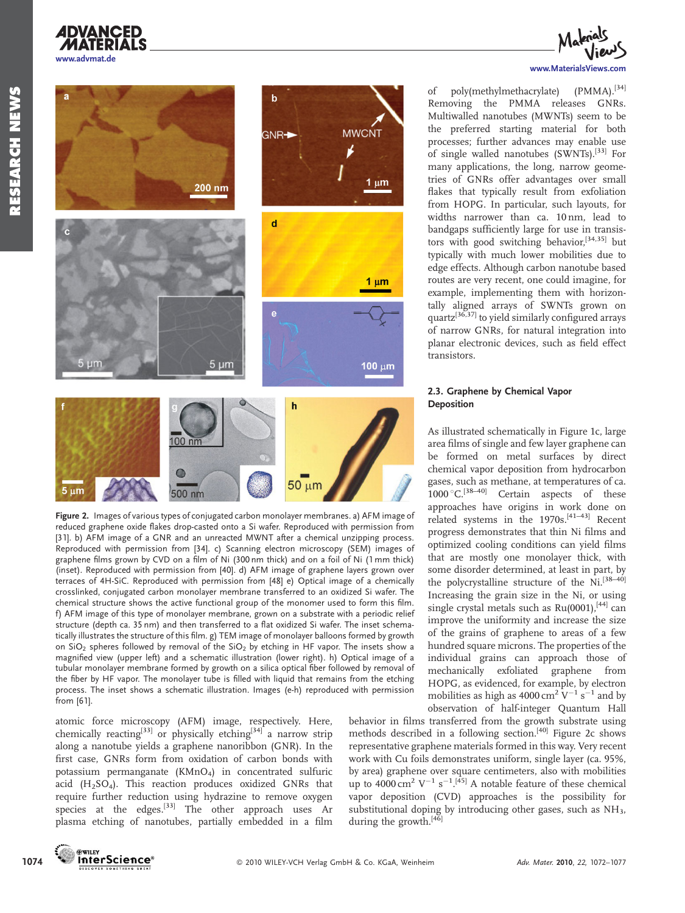



Figure 2. Images of various types of conjugated carbon monolayer membranes. a) AFM image of reduced graphene oxide flakes drop-casted onto a Si wafer. Reproduced with permission from [31]. b) AFM image of a GNR and an unreacted MWNT after a chemical unzipping process. Reproduced with permission from [34]. c) Scanning electron microscopy (SEM) images of graphene films grown by CVD on a film of Ni (300 nm thick) and on a foil of Ni (1 mm thick) (inset). Reproduced with permission from [40]. d) AFM image of graphene layers grown over terraces of 4H-SiC. Reproduced with permission from [48] e) Optical image of a chemically crosslinked, conjugated carbon monolayer membrane transferred to an oxidized Si wafer. The chemical structure shows the active functional group of the monomer used to form this film. f) AFM image of this type of monolayer membrane, grown on a substrate with a periodic relief structure (depth ca. 35 nm) and then transferred to a flat oxidized Si wafer. The inset schematically illustrates the structure of this film. g) TEM image of monolayer balloons formed by growth on  $SiO<sub>2</sub>$  spheres followed by removal of the  $SiO<sub>2</sub>$  by etching in HF vapor. The insets show a magnified view (upper left) and a schematic illustration (lower right). h) Optical image of a tubular monolayer membrane formed by growth on a silica optical fiber followed by removal of the fiber by HF vapor. The monolayer tube is filled with liquid that remains from the etching process. The inset shows a schematic illustration. Images (e-h) reproduced with permission from [61].

atomic force microscopy (AFM) image, respectively. Here, chemically reacting<sup>[33]</sup> or physically etching<sup>[34]</sup> a narrow strip along a nanotube yields a graphene nanoribbon (GNR). In the first case, GNRs form from oxidation of carbon bonds with potassium permanganate (KMnO4) in concentrated sulfuric acid  $(H<sub>2</sub>SO<sub>4</sub>)$ . This reaction produces oxidized GNRs that require further reduction using hydrazine to remove oxygen species at the edges.<sup>[33]</sup> The other approach uses Ar plasma etching of nanotubes, partially embedded in a film



of poly(methylmethacrylate) (PMMA).<sup>[34]</sup> Removing the PMMA releases GNRs. Multiwalled nanotubes (MWNTs) seem to be the preferred starting material for both processes; further advances may enable use of single walled nanotubes (SWNTs).[33] For many applications, the long, narrow geometries of GNRs offer advantages over small flakes that typically result from exfoliation from HOPG. In particular, such layouts, for widths narrower than ca. 10 nm, lead to bandgaps sufficiently large for use in transistors with good switching behavior,<sup>[34,35]</sup> but typically with much lower mobilities due to edge effects. Although carbon nanotube based routes are very recent, one could imagine, for example, implementing them with horizontally aligned arrays of SWNTs grown on quartz<sup>[36,37]</sup> to yield similarly configured arrays of narrow GNRs, for natural integration into planar electronic devices, such as field effect transistors.

#### 2.3. Graphene by Chemical Vapor **Deposition**

As illustrated schematically in Figure 1c, large area films of single and few layer graphene can be formed on metal surfaces by direct chemical vapor deposition from hydrocarbon gases, such as methane, at temperatures of ca.  $1000\,^{\circ}$ C.<sup>[38–40]</sup> Certain aspects of these approaches have origins in work done on related systems in the 1970s.[41–43] Recent progress demonstrates that thin Ni films and optimized cooling conditions can yield films that are mostly one monolayer thick, with some disorder determined, at least in part, by the polycrystalline structure of the Ni.<sup>[38-40]</sup> Increasing the grain size in the Ni, or using single crystal metals such as Ru(0001),<sup>[44]</sup> can improve the uniformity and increase the size of the grains of graphene to areas of a few hundred square microns. The properties of the individual grains can approach those of mechanically exfoliated graphene from HOPG, as evidenced, for example, by electron mobilities as high as 4000 cm $^2$  V $^{-1}$  s $^{-1}$  and by observation of half-integer Quantum Hall

behavior in films transferred from the growth substrate using methods described in a following section.<sup>[40]</sup> Figure 2c shows representative graphene materials formed in this way. Very recent work with Cu foils demonstrates uniform, single layer (ca. 95%, by area) graphene over square centimeters, also with mobilities up to 4000 cm<sup>2</sup> V<sup>-1</sup> s<sup>-1 [45]</sup> A notable feature of these chemical vapor deposition (CVD) approaches is the possibility for substitutional doping by introducing other gases, such as  $\mathrm{NH}_3$ , during the growth.<sup>[46]</sup>

**DWILEY**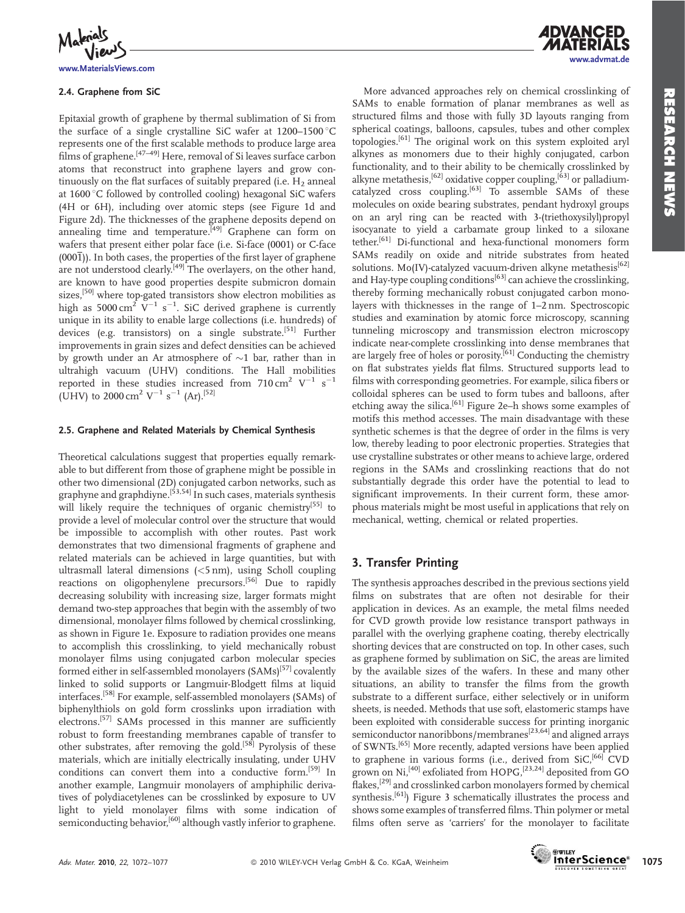

www.MaterialsViews.com

#### 2.4. Graphene from SiC

Epitaxial growth of graphene by thermal sublimation of Si from the surface of a single crystalline SiC wafer at  $1200-1500$  °C represents one of the first scalable methods to produce large area films of graphene.<sup>[47–49]</sup> Here, removal of Si leaves surface carbon atoms that reconstruct into graphene layers and grow continuously on the flat surfaces of suitably prepared (i.e.  $H_2$  anneal at 1600 °C followed by controlled cooling) hexagonal SiC wafers (4H or 6H), including over atomic steps (see Figure 1d and Figure 2d). The thicknesses of the graphene deposits depend on annealing time and temperature.<sup>[49]</sup> Graphene can form on wafers that present either polar face (i.e. Si-face (0001) or C-face  $(000\bar{1})$ ). In both cases, the properties of the first layer of graphene are not understood clearly.<sup>[49]</sup> The overlayers, on the other hand, are known to have good properties despite submicron domain sizes,[50] where top-gated transistors show electron mobilities as high as  $5000 \, \text{cm}^2$  V<sup>-1</sup> s<sup>-1</sup>. SiC derived graphene is currently unique in its ability to enable large collections (i.e. hundreds) of devices (e.g. transistors) on a single substrate.<sup>[51]</sup> Further improvements in grain sizes and defect densities can be achieved by growth under an Ar atmosphere of  ${\sim}1$  bar, rather than in ultrahigh vacuum (UHV) conditions. The Hall mobilities reported in these studies increased from  $710 \text{ cm}^2 \text{ V}^{-1} \text{ s}^{-1}$ (UHV) to 2000 cm<sup>2</sup> V<sup>-1</sup> s<sup>-1</sup> (Ar).<sup>[52]</sup>

#### 2.5. Graphene and Related Materials by Chemical Synthesis

Theoretical calculations suggest that properties equally remarkable to but different from those of graphene might be possible in other two dimensional (2D) conjugated carbon networks, such as graphyne and graphdiyne.<sup>[53,54]</sup> In such cases, materials synthesis will likely require the techniques of organic chemistry<sup>[55]</sup> to provide a level of molecular control over the structure that would be impossible to accomplish with other routes. Past work demonstrates that two dimensional fragments of graphene and related materials can be achieved in large quantities, but with ultrasmall lateral dimensions (<5 nm), using Scholl coupling reactions on oligophenylene precursors.<sup>[56]</sup> Due to rapidly decreasing solubility with increasing size, larger formats might demand two-step approaches that begin with the assembly of two dimensional, monolayer films followed by chemical crosslinking, as shown in Figure 1e. Exposure to radiation provides one means to accomplish this crosslinking, to yield mechanically robust monolayer films using conjugated carbon molecular species formed either in self-assembled monolayers (SAMs)<sup>[57]</sup> covalently linked to solid supports or Langmuir-Blodgett films at liquid interfaces.[58] For example, self-assembled monolayers (SAMs) of biphenylthiols on gold form crosslinks upon irradiation with electrons.<sup>[57]</sup> SAMs processed in this manner are sufficiently robust to form freestanding membranes capable of transfer to other substrates, after removing the gold.<sup>[58]</sup> Pyrolysis of these materials, which are initially electrically insulating, under UHV conditions can convert them into a conductive form.[59] In another example, Langmuir monolayers of amphiphilic derivatives of polydiacetylenes can be crosslinked by exposure to UV light to yield monolayer films with some indication of semiconducting behavior,<sup>[60]</sup> although vastly inferior to graphene.

More advanced approaches rely on chemical crosslinking of SAMs to enable formation of planar membranes as well as structured films and those with fully 3D layouts ranging from spherical coatings, balloons, capsules, tubes and other complex topologies.[61] The original work on this system exploited aryl alkynes as monomers due to their highly conjugated, carbon functionality, and to their ability to be chemically crosslinked by alkyne metathesis,<sup>[62]</sup> oxidative copper coupling,<sup>[63]</sup> or palladiumcatalyzed cross coupling.<sup>[63]</sup> To assemble  $SAMs$  of these molecules on oxide bearing substrates, pendant hydroxyl groups on an aryl ring can be reacted with 3-(triethoxysilyl)propyl isocyanate to yield a carbamate group linked to a siloxane tether.[61] Di-functional and hexa-functional monomers form SAMs readily on oxide and nitride substrates from heated solutions. Mo(IV)-catalyzed vacuum-driven alkyne metathesis<sup>[62]</sup> and Hay-type coupling conditions<sup>[63]</sup> can achieve the crosslinking, thereby forming mechanically robust conjugated carbon monolayers with thicknesses in the range of 1–2 nm. Spectroscopic studies and examination by atomic force microscopy, scanning tunneling microscopy and transmission electron microscopy indicate near-complete crosslinking into dense membranes that are largely free of holes or porosity.[61] Conducting the chemistry on flat substrates yields flat films. Structured supports lead to films with corresponding geometries. For example, silica fibers or colloidal spheres can be used to form tubes and balloons, after etching away the silica.[61] Figure 2e–h shows some examples of motifs this method accesses. The main disadvantage with these synthetic schemes is that the degree of order in the films is very low, thereby leading to poor electronic properties. Strategies that use crystalline substrates or other means to achieve large, ordered regions in the SAMs and crosslinking reactions that do not substantially degrade this order have the potential to lead to significant improvements. In their current form, these amorphous materials might be most useful in applications that rely on mechanical, wetting, chemical or related properties.

### 3. Transfer Printing

The synthesis approaches described in the previous sections yield films on substrates that are often not desirable for their application in devices. As an example, the metal films needed for CVD growth provide low resistance transport pathways in parallel with the overlying graphene coating, thereby electrically shorting devices that are constructed on top. In other cases, such as graphene formed by sublimation on SiC, the areas are limited by the available sizes of the wafers. In these and many other situations, an ability to transfer the films from the growth substrate to a different surface, either selectively or in uniform sheets, is needed. Methods that use soft, elastomeric stamps have been exploited with considerable success for printing inorganic semiconductor nanoribbons/membranes<sup>[23,64]</sup> and aligned arrays of SWNTs.[65] More recently, adapted versions have been applied to graphene in various forms (i.e., derived from SiC,<sup>[66]</sup> CVD grown on Ni,<sup>[40]</sup> exfoliated from HOPG,<sup>[23,24]</sup> deposited from GO flakes,<sup>[29]</sup> and crosslinked carbon monolayers formed by chemical synthesis.<sup>[61]</sup>) Figure 3 schematically illustrates the process and shows some examples of transferred films. Thin polymer or metal films often serve as 'carriers' for the monolayer to facilitate

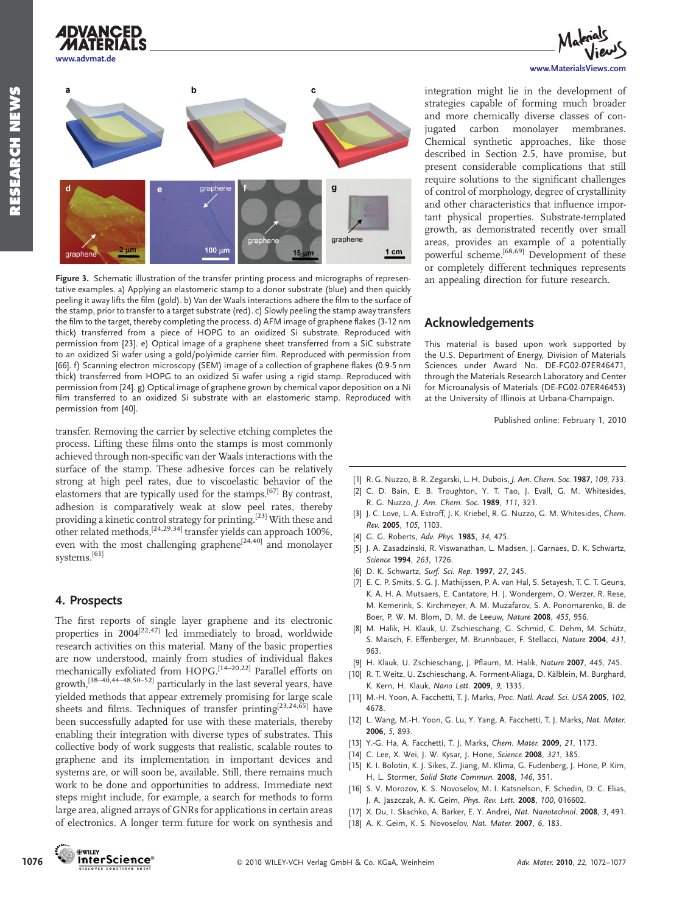

www.advmat.de

**ADVANCED** 

## $\mathbf b$  $\overline{a}$  $\overline{a}$ graphene  $2 \mu m$  $100 \text{ m}$  $1 cm$  $15$

Figure 3. Schematic illustration of the transfer printing process and micrographs of representative examples. a) Applying an elastomeric stamp to a donor substrate (blue) and then quickly peeling it away lifts the film (gold). b) Van der Waals interactions adhere the film to the surface of the stamp, prior to transfer to a target substrate (red). c) Slowly peeling the stamp away transfers the film to the target, thereby completing the process. d) AFM image of graphene flakes (3-12 nm thick) transferred from a piece of HOPG to an oxidized Si substrate. Reproduced with permission from [23]. e) Optical image of a graphene sheet transferred from a SiC substrate to an oxidized Si wafer using a gold/polyimide carrier film. Reproduced with permission from [66]. f) Scanning electron microscopy (SEM) image of a collection of graphene flakes (0.9-5 nm thick) transferred from HOPG to an oxidized Si wafer using a rigid stamp. Reproduced with permission from [24]. g) Optical image of graphene grown by chemical vapor deposition on a Ni film transferred to an oxidized Si substrate with an elastomeric stamp. Reproduced with permission from [40].

transfer. Removing the carrier by selective etching completes the process. Lifting these films onto the stamps is most commonly achieved through non-specific van der Waals interactions with the surface of the stamp. These adhesive forces can be relatively strong at high peel rates, due to viscoelastic behavior of the elastomers that are typically used for the stamps.[67] By contrast, adhesion is comparatively weak at slow peel rates, thereby providing a kinetic control strategy for printing.<sup>[23]</sup> With these and other related methods,  $[24,29,34]$  transfer yields can approach 100%, even with the most challenging graphene<sup>[24,40]</sup> and monolayer systems.[61]

#### 4. Prospects

The first reports of single layer graphene and its electronic properties in  $2004^{[22,47]}$  led immediately to broad, worldwide research activities on this material. Many of the basic properties are now understood, mainly from studies of individual flakes mechanically exfoliated from HOPG.[14–20,22] Parallel efforts on growth,[38–40,44–48,50–52] particularly in the last several years, have yielded methods that appear extremely promising for large scale sheets and films. Techniques of transfer printing<sup>[23,24,65]</sup> have been successfully adapted for use with these materials, thereby enabling their integration with diverse types of substrates. This collective body of work suggests that realistic, scalable routes to graphene and its implementation in important devices and systems are, or will soon be, available. Still, there remains much work to be done and opportunities to address. Immediate next steps might include, for example, a search for methods to form large area, aligned arrays of GNRs for applications in certain areas of electronics. A longer term future for work on synthesis and www.MaterialsViews.com

integration might lie in the development of strategies capable of forming much broader and more chemically diverse classes of conjugated carbon monolayer membranes. Chemical synthetic approaches, like those described in Section 2.5, have promise, but present considerable complications that still require solutions to the significant challenges of control of morphology, degree of crystallinity and other characteristics that influence important physical properties. Substrate-templated growth, as demonstrated recently over small areas, provides an example of a potentially powerful scheme.[68,69] Development of these or completely different techniques represents an appealing direction for future research.

## Acknowledgements

This material is based upon work supported by the U.S. Department of Energy, Division of Materials Sciences under Award No. DE-FG02-07ER46471, through the Materials Research Laboratory and Center for Microanalysis of Materials (DE-FG02-07ER46453) at the University of Illinois at Urbana-Champaign.

Published online: February 1, 2010

- [1] R. G. Nuzzo, B. R. Zegarski, L. H. Dubois, J. Am. Chem. Soc. 1987, 109, 733.
- [2] C. D. Bain, E. B. Troughton, Y. T. Tao, J. Evall, G. M. Whitesides, R. G. Nuzzo, J. Am. Chem. Soc. 1989, 111, 321.
- [3] J. C. Love, L. A. Estroff, J. K. Kriebel, R. G. Nuzzo, G. M. Whitesides, Chem. Rev. 2005, 105, 1103.
- [4] G. G. Roberts, Adv. Phys. 1985, 34, 475.
- [5] J. A. Zasadzinski, R. Viswanathan, L. Madsen, J. Garnaes, D. K. Schwartz, Science 1994, 263, 1726.
- [6] D. K. Schwartz, Surf. Sci. Rep. 1997, 27, 245.
- [7] E. C. P. Smits, S. G. J. Mathijssen, P. A. van Hal, S. Setayesh, T. C. T. Geuns, K. A. H. A. Mutsaers, E. Cantatore, H. J. Wondergem, O. Werzer, R. Rese, M. Kemerink, S. Kirchmeyer, A. M. Muzafarov, S. A. Ponomarenko, B. de Boer, P. W. M. Blom, D. M. de Leeuw, Nature 2008, 455, 956.
- [8] M. Halik, H. Klauk, U. Zschieschang, G. Schmid, C. Dehm, M. Schütz, S. Maisch, F. Effenberger, M. Brunnbauer, F. Stellacci, Nature 2004, 431, 963.
- [9] H. Klauk, U. Zschieschang, J. Pflaum, M. Halik, Nature 2007, 445, 745.
- [10] R. T. Weitz, U. Zschieschang, A. Forment-Aliaga, D. Kälblein, M. Burghard, K. Kern, H. Klauk, Nano Lett. 2009, 9, 1335.
- [11] M.-H. Yoon, A. Facchetti, T. J. Marks, Proc. Natl. Acad. Sci. USA 2005, 102, 4678.
- [12] L. Wang, M.-H. Yoon, G. Lu, Y. Yang, A. Facchetti, T. J. Marks, Nat. Mater. 2006, 5, 893.
- [13] Y.-G. Ha, A. Facchetti, T. J. Marks, Chem. Mater. 2009, 21, 1173.
- [14] C. Lee, X. Wei, J. W. Kysar, J. Hone, Science 2008, 321, 385.
- [15] K. I. Bolotin, K. J. Sikes, Z. Jiang, M. Klima, G. Fudenberg, J. Hone, P. Kim, H. L. Stormer, Solid State Commun. 2008, 146, 351.
- [16] S. V. Morozov, K. S. Novoselov, M. I. Katsnelson, F. Schedin, D. C. Elias, J. A. Jaszczak, A. K. Geim, Phys. Rev. Lett. 2008, 100, 016602.
- [17] X. Du, I. Skachko, A. Barker, E. Y. Andrei, Nat. Nanotechnol. 2008, 3, 491.
- [18] A. K. Geim, K. S. Novoselov, Nat. Mater. 2007, 6, 183.